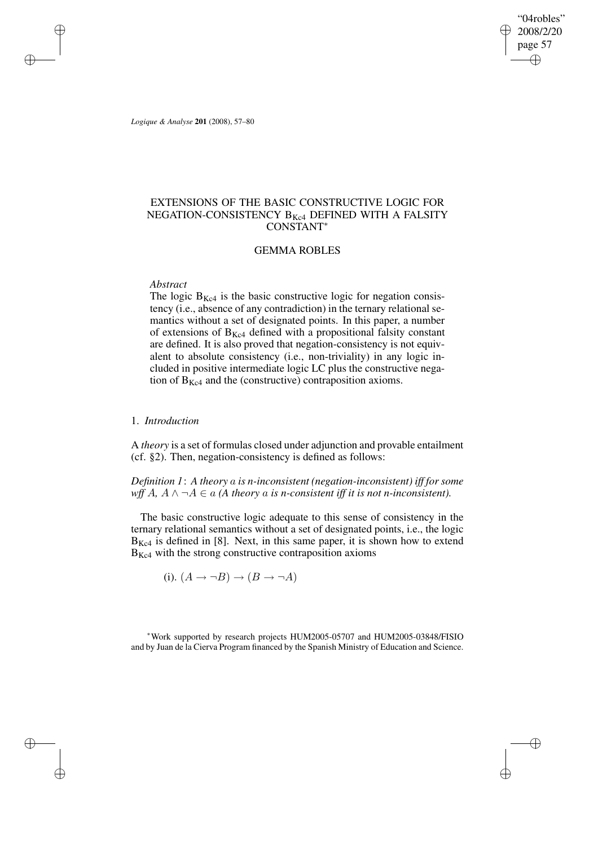"04robles" 2008/2/20 page 57 ✐ ✐

✐

✐

*Logique & Analyse* **201** (2008), 57–80

✐

✐

✐

✐

# EXTENSIONS OF THE BASIC CONSTRUCTIVE LOGIC FOR NEGATION-CONSISTENCY  $B_{Kc4}$  DEFINED WITH A FALSITY CONSTANT<sup>∗</sup>

# GEMMA ROBLES

# *Abstract*

The logic  $B_{Kc4}$  is the basic constructive logic for negation consistency (i.e., absence of any contradiction) in the ternary relational semantics without a set of designated points. In this paper, a number of extensions of  $B_{Kc4}$  defined with a propositional falsity constant are defined. It is also proved that negation-consistency is not equivalent to absolute consistency (i.e., non-triviality) in any logic included in positive intermediate logic LC plus the constructive negation of  $B_{Kc4}$  and the (constructive) contraposition axioms.

## 1. *Introduction*

A *theory* is a set of formulas closed under adjunction and provable entailment (cf. §2). Then, negation-consistency is defined as follows:

*Definition 1*: *A theory* a *is n-inconsistent (negation-inconsistent) iff for some wff*  $A$ ,  $A \wedge \neg A \in a$  (A *theory* a *is n*-consistent *iff it is not n*-*inconsistent*).

The basic constructive logic adequate to this sense of consistency in the ternary relational semantics without a set of designated points, i.e., the logic  $B_{Kc4}$  is defined in [8]. Next, in this same paper, it is shown how to extend  $B_{Kc4}$  with the strong constructive contraposition axioms

(i). 
$$
(A \rightarrow \neg B) \rightarrow (B \rightarrow \neg A)
$$

<sup>∗</sup>Work supported by research projects HUM2005-05707 and HUM2005-03848/FISIO and by Juan de la Cierva Program financed by the Spanish Ministry of Education and Science.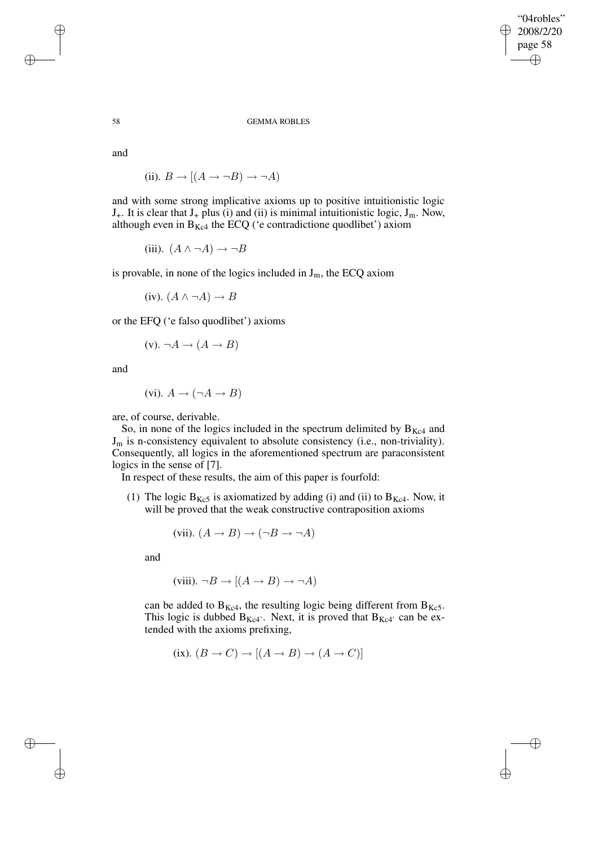"04robles" 2008/2/20 page 58 ✐ ✐

✐

✐

### 58 GEMMA ROBLES

and

(ii).  $B \to [(A \to \neg B) \to \neg A)$ 

and with some strong implicative axioms up to positive intuitionistic logic  $J_{+}$ . It is clear that  $J_{+}$  plus (i) and (ii) is minimal intuitionistic logic,  $J_{m}$ . Now, although even in  $B_{Kc4}$  the ECQ ('e contradictione quodlibet') axiom

(iii).  $(A \land \neg A) \rightarrow \neg B$ 

is provable, in none of the logics included in  $J_m$ , the ECQ axiom

(iv).  $(A \land \neg A) \rightarrow B$ 

or the EFQ ('e falso quodlibet') axioms

$$
(v). \neg A \rightarrow (A \rightarrow B)
$$

and

(vi).  $A \rightarrow (\neg A \rightarrow B)$ 

are, of course, derivable.

So, in none of the logics included in the spectrum delimited by  $B_{Kc4}$  and  $J_m$  is n-consistency equivalent to absolute consistency (i.e., non-triviality). Consequently, all logics in the aforementioned spectrum are paraconsistent logics in the sense of [7].

In respect of these results, the aim of this paper is fourfold:

(1) The logic  $B_{Kc5}$  is axiomatized by adding (i) and (ii) to  $B_{Kc4}$ . Now, it will be proved that the weak constructive contraposition axioms

(vii). 
$$
(A \rightarrow B) \rightarrow (\neg B \rightarrow \neg A)
$$

and

(viii). 
$$
\neg B \rightarrow [(A \rightarrow B) \rightarrow \neg A)
$$

can be added to  $B_{Kc4}$ , the resulting logic being different from  $B_{Kc5}$ . This logic is dubbed  $B_{Kc4}$ . Next, it is proved that  $B_{Kc4}$  can be extended with the axioms prefixing,

(ix). 
$$
(B \to C) \to [(A \to B) \to (A \to C)]
$$

✐

✐

✐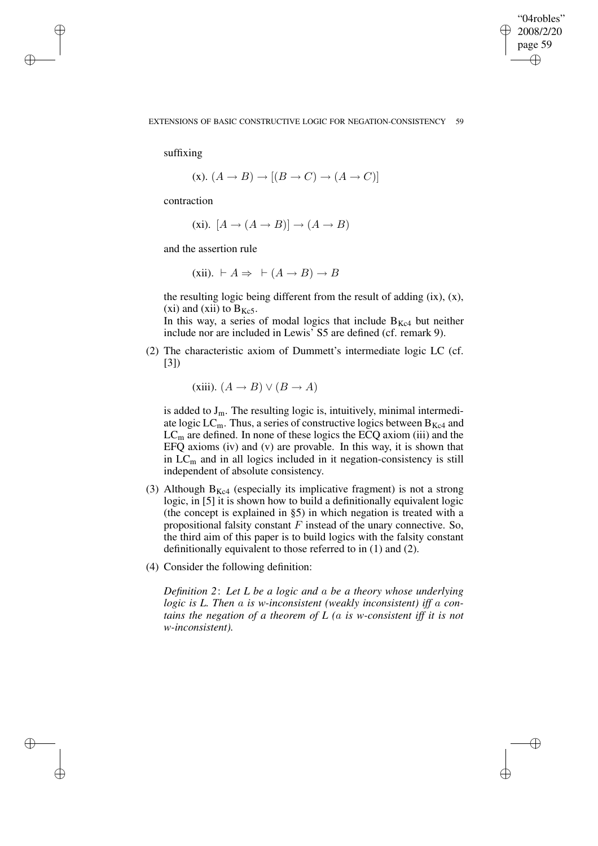✐

## EXTENSIONS OF BASIC CONSTRUCTIVE LOGIC FOR NEGATION-CONSISTENCY 59

suffixing

✐

✐

✐

✐

$$
(\mathbf{x}).\ (A \to B) \to [(B \to C) \to (A \to C)]
$$

contraction

(xi).  $[A \rightarrow (A \rightarrow B)] \rightarrow (A \rightarrow B)$ 

and the assertion rule

(xii).  $\vdash A \Rightarrow \vdash (A \rightarrow B) \rightarrow B$ 

the resulting logic being different from the result of adding  $(ix)$ ,  $(x)$ , (xi) and (xii) to  $B_{Kc5}$ .

In this way, a series of modal logics that include  $B_{Kc4}$  but neither include nor are included in Lewis' S5 are defined (cf. remark 9).

(2) The characteristic axiom of Dummett's intermediate logic LC (cf. [3])

(xiii). 
$$
(A \rightarrow B) \lor (B \rightarrow A)
$$

is added to  $J_m$ . The resulting logic is, intuitively, minimal intermediate logic  $LC_m$ . Thus, a series of constructive logics between  $B_{Kc4}$  and  $LC<sub>m</sub>$  are defined. In none of these logics the ECQ axiom (iii) and the EFQ axioms (iv) and (v) are provable. In this way, it is shown that in  $LC<sub>m</sub>$  and in all logics included in it negation-consistency is still independent of absolute consistency.

- (3) Although  $B_{Kc4}$  (especially its implicative fragment) is not a strong logic, in [5] it is shown how to build a definitionally equivalent logic (the concept is explained in §5) in which negation is treated with a propositional falsity constant  $F$  instead of the unary connective. So, the third aim of this paper is to build logics with the falsity constant definitionally equivalent to those referred to in (1) and (2).
- (4) Consider the following definition:

*Definition 2*: *Let L be a logic and* a *be a theory whose underlying logic is L. Then* a *is w-inconsistent (weakly inconsistent) iff* a *contains the negation of a theorem of L (*a *is w-consistent iff it is not w-inconsistent).*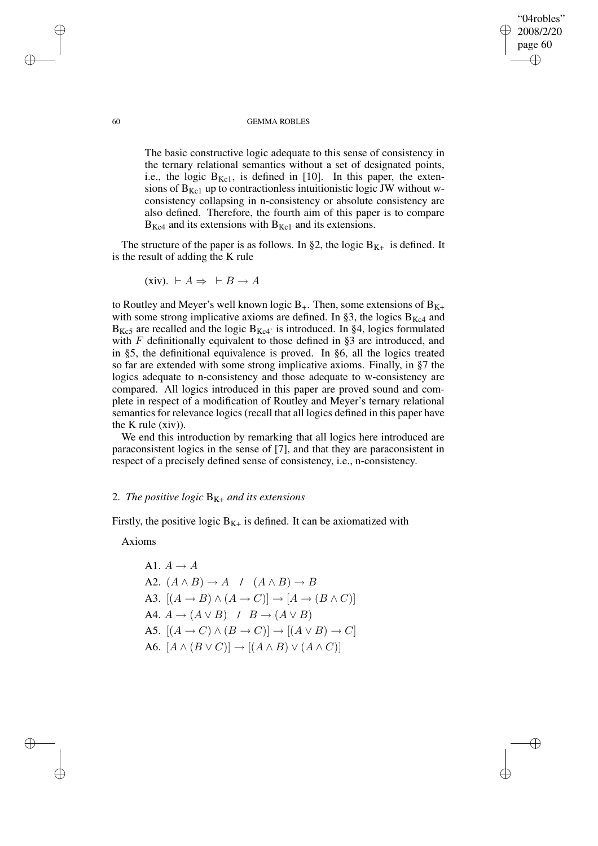### 60 GEMMA ROBLES

"04robles" 2008/2/20 page 60

✐

✐

✐

✐

The basic constructive logic adequate to this sense of consistency in the ternary relational semantics without a set of designated points, i.e., the logic  $B_{Kc1}$ , is defined in [10]. In this paper, the extensions of  $B_{Kc1}$  up to contractionless intuitionistic logic JW without wconsistency collapsing in n-consistency or absolute consistency are also defined. Therefore, the fourth aim of this paper is to compare  $B_{Kc4}$  and its extensions with  $B_{Kc1}$  and its extensions.

The structure of the paper is as follows. In §2, the logic  $B_{K+}$  is defined. It is the result of adding the K rule

(xiv). 
$$
\vdash A \Rightarrow \vdash B \rightarrow A
$$

to Routley and Meyer's well known logic  $B_{+}$ . Then, some extensions of  $B_{K+}$ with some strong implicative axioms are defined. In §3, the logics  $B_{Kc4}$  and  $B_{Kc5}$  are recalled and the logic  $B_{Kc4}$  is introduced. In §4, logics formulated with  $F$  definitionally equivalent to those defined in §3 are introduced, and in §5, the definitional equivalence is proved. In §6, all the logics treated so far are extended with some strong implicative axioms. Finally, in §7 the logics adequate to n-consistency and those adequate to w-consistency are compared. All logics introduced in this paper are proved sound and complete in respect of a modification of Routley and Meyer's ternary relational semantics for relevance logics (recall that all logics defined in this paper have the K rule (xiv)).

We end this introduction by remarking that all logics here introduced are paraconsistent logics in the sense of [7], and that they are paraconsistent in respect of a precisely defined sense of consistency, i.e., n-consistency.

# 2. *The positive logic*  $B_{K+}$  *and its extensions*

Firstly, the positive logic  $B_{K+}$  is defined. It can be axiomatized with

Axioms

A1. 
$$
A \rightarrow A
$$
  
\nA2.  $(A \land B) \rightarrow A \quad / \quad (A \land B) \rightarrow B$   
\nA3.  $[(A \rightarrow B) \land (A \rightarrow C)] \rightarrow [A \rightarrow (B \land C)]$   
\nA4.  $A \rightarrow (A \lor B) \quad / \quad B \rightarrow (A \lor B)$   
\nA5.  $[(A \rightarrow C) \land (B \rightarrow C)] \rightarrow [(A \lor B) \rightarrow C]$   
\nA6.  $[A \land (B \lor C)] \rightarrow [(A \land B) \lor (A \land C)]$ 

✐

✐

✐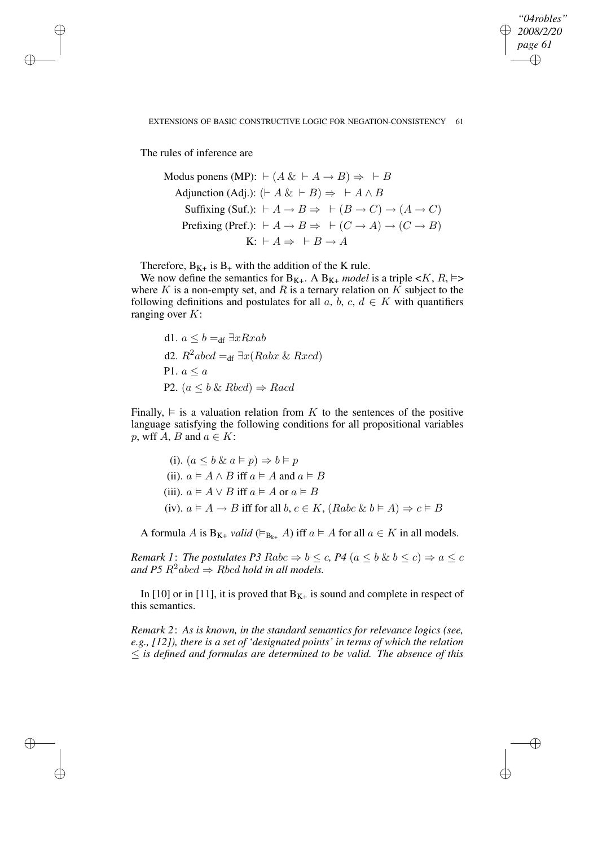*"04robles" 2008/2/20 page 61* ✐ ✐

✐

✐

## EXTENSIONS OF BASIC CONSTRUCTIVE LOGIC FOR NEGATION-CONSISTENCY 61

The rules of inference are

✐

✐

✐

✐

Modus ponens (MP): 
$$
\vdash (A \& \vdash A \rightarrow B) \Rightarrow \vdash B
$$

\nAdjunction (Adj):  $(\vdash A \& \vdash B) \Rightarrow \vdash A \land B$ 

\nSuffixing (Suf.):  $\vdash A \rightarrow B \Rightarrow \vdash (B \rightarrow C) \rightarrow (A \rightarrow C)$ 

\nPrefixing (Pref.):  $\vdash A \rightarrow B \Rightarrow \vdash (C \rightarrow A) \rightarrow (C \rightarrow B)$ 

\nK:  $\vdash A \Rightarrow \vdash B \rightarrow A$ 

Therefore,  $B_{K+}$  is  $B_+$  with the addition of the K rule.

We now define the semantics for  $B_{K+}$ . A  $B_{K+}$  *model* is a triple  $\lt K$ ,  $R$ ,  $\models$ where  $K$  is a non-empty set, and  $R$  is a ternary relation on  $K$  subject to the following definitions and postulates for all  $a, b, c, d \in K$  with quantifiers ranging over  $K$ :

\n- d1. 
$$
a \leq b =_{df} \exists x R x ab
$$
\n- d2.  $R^2 abcd =_{df} \exists x (Rabx \& Rxcd)$
\n- P1.  $a \leq a$
\n- P2.  $(a \leq b \& Rbcd) \Rightarrow Racd$
\n

Finally,  $\models$  is a valuation relation from K to the sentences of the positive language satisfying the following conditions for all propositional variables p, wff A, B and  $a \in K$ :

(i). 
$$
(a \le b \& a \models p) \Rightarrow b \models p
$$
  
\n(ii).  $a \models A \land B$  iff  $a \models A$  and  $a \models B$   
\n(iii).  $a \models A \lor B$  iff  $a \models A$  or  $a \models B$   
\n(iv).  $a \models A \rightarrow B$  iff for all  $b, c \in K$ ,  $(Rabc \& b \models A) \Rightarrow c \models B$ 

A formula A is  $B_{K^+}$  *valid* ( $\vDash_{B_{k^+}} A$ ) iff  $a \vDash A$  for all  $a \in K$  in all models.

*Remark* 1: *The postulates P3*  $Rabc \Rightarrow b \leq c$ , *P4*  $(a \leq b \& b \leq c) \Rightarrow a \leq c$ *and*  $P5 R^2abcd \Rightarrow Rbcd$  *hold in all models.* 

In [10] or in [11], it is proved that  $B_{K+}$  is sound and complete in respect of this semantics.

*Remark 2*: *As is known, in the standard semantics for relevance logics (see, e.g., [12]), there is a set of 'designated points' in terms of which the relation* ≤ *is defined and formulas are determined to be valid. The absence of this*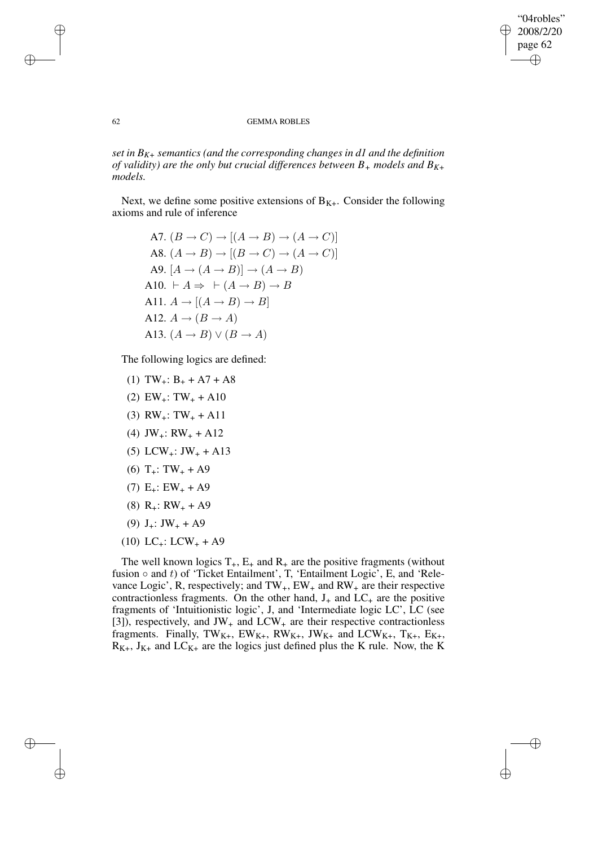✐

## 62 GEMMA ROBLES

*set in BK+ semantics (and the corresponding changes in d1 and the definition of validity) are the only but crucial differences between B<sup>+</sup> models and BK+ models.*

Next, we define some positive extensions of  $B_{K+}$ . Consider the following axioms and rule of inference

A7. 
$$
(B \rightarrow C) \rightarrow [(A \rightarrow B) \rightarrow (A \rightarrow C)]
$$
  
\nA8.  $(A \rightarrow B) \rightarrow [(B \rightarrow C) \rightarrow (A \rightarrow C)]$   
\nA9.  $[A \rightarrow (A \rightarrow B)] \rightarrow (A \rightarrow B)$   
\nA10.  $\vdash A \Rightarrow \vdash (A \rightarrow B) \rightarrow B$   
\nA11.  $A \rightarrow [(A \rightarrow B) \rightarrow B]$   
\nA12.  $A \rightarrow (B \rightarrow A)$   
\nA13.  $(A \rightarrow B) \lor (B \rightarrow A)$ 

The following logics are defined:

- (1)  $TW_+$ :  $B_+ + A7 + A8$
- (2)  $EW_+$ : TW<sub>+</sub> + A10
- (3)  $RW_{+}: TW_{+} + A11$
- (4) JW<sub>+</sub>: RW<sub>+</sub> + A12
- $(5)$  LCW<sub>+</sub>: JW<sub>+</sub> + A13
- $(6)$  T<sub>+</sub>: TW<sub>+</sub> + A9
- $(7)$  E<sub>+</sub>: EW<sub>+</sub> + A9
- (8)  $R_{+}: RW_{+} + A9$
- (9)  $J_{+}: JW_{+} + A9$
- $(10)$  LC<sub>+</sub>: LCW<sub>+</sub> + A9

The well known logics  $T_+$ ,  $E_+$  and  $R_+$  are the positive fragments (without fusion  $\circ$  and t) of 'Ticket Entailment', T, 'Entailment Logic', E, and 'Relevance Logic', R, respectively; and  $TW_+$ ,  $EW_+$  and  $RW_+$  are their respective contractionless fragments. On the other hand,  $J_{+}$  and  $LC_{+}$  are the positive fragments of 'Intuitionistic logic', J, and 'Intermediate logic LC', LC (see [3]), respectively, and  $JW_+$  and  $LCW_+$  are their respective contractionless fragments. Finally,  $TW_{K+}$ ,  $EW_{K+}$ ,  $RW_{K+}$ ,  $JW_{K+}$  and  $LCW_{K+}$ ,  $T_{K+}$ ,  $E_{K+}$ ,  $R_{K+}$ ,  $J_{K+}$  and  $LC_{K+}$  are the logics just defined plus the K rule. Now, the K

✐

✐

✐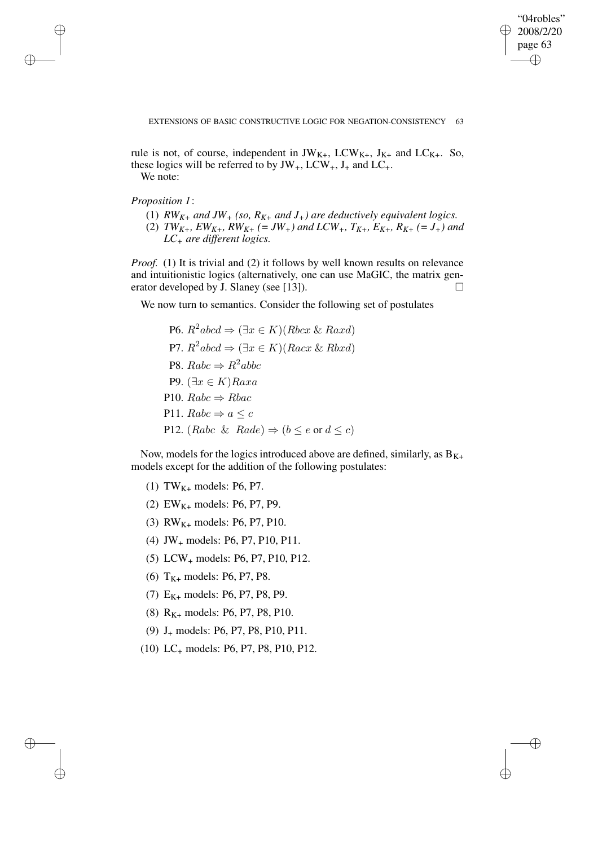"04robles" 2008/2/20 page 63 ✐ ✐

✐

✐

rule is not, of course, independent in  $JW_{K+}$ ,  $LCW_{K+}$ ,  $J_{K+}$  and  $LC_{K+}$ . So, these logics will be referred to by  $JW_+$ , LCW<sub>+</sub>, J<sub>+</sub> and LC<sub>+</sub>. We note:

*Proposition 1*:

✐

✐

✐

✐

- (1)  $RW_{K+}$  *and*  $JW_+$  (so,  $R_{K+}$  *and*  $J_+$ ) are deductively equivalent logics.
- (2)  $TW_{K+}$ ,  $EW_{K+}$ ,  $RW_{K+}$  (= JW<sub>+</sub>) and LCW<sub>+</sub>,  $T_{K+}$ ,  $E_{K+}$ ,  $R_{K+}$  (= J<sub>+</sub>) and *LC<sup>+</sup> are different logics.*

*Proof.* (1) It is trivial and (2) it follows by well known results on relevance and intuitionistic logics (alternatively, one can use MaGIC, the matrix generator developed by J. Slaney (see [13]).  $\Box$ 

We now turn to semantics. Consider the following set of postulates

P6.  $R^2abcd \Rightarrow (\exists x \in K)(Rbcx \& Raxd)$ P7.  $R^2abcd \Rightarrow (\exists x \in K)(Racx \& Rbxd)$ P8.  $Rabc \Rightarrow R^2abbc$ P9.  $(∃x ∈ K)$ *Raxa* P10.  $Rabc \Rightarrow Rbac$ P11.  $Rabc \Rightarrow a \leq c$ P12. (Rabc & Rade)  $\Rightarrow$  ( $b \le e$  or  $d \le c$ )

Now, models for the logics introduced above are defined, similarly, as  $B_{K+}$ models except for the addition of the following postulates:

- (1) TW<sub>K+</sub> models: P6, P7.
- (2) EW<sub>K+</sub> models: P6, P7, P9.
- (3)  $RW_{K+}$  models: P6, P7, P10.
- (4) JW<sup>+</sup> models: P6, P7, P10, P11.
- (5) LCW<sup>+</sup> models: P6, P7, P10, P12.
- (6)  $T_{K+}$  models: P6, P7, P8.
- (7)  $E_{K+}$  models: P6, P7, P8, P9.
- (8)  $R_{K+}$  models: P6, P7, P8, P10.
- (9) J<sup>+</sup> models: P6, P7, P8, P10, P11.
- (10) LC<sup>+</sup> models: P6, P7, P8, P10, P12.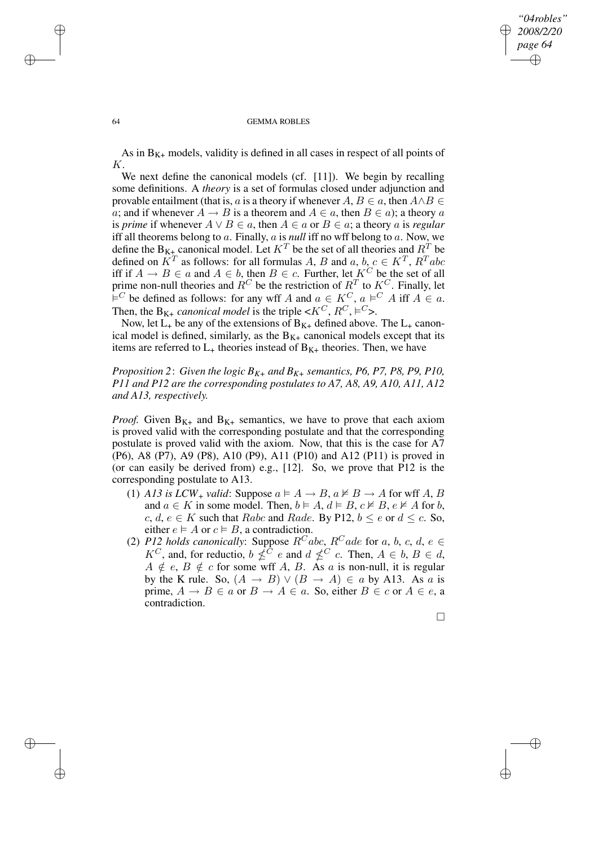## *"04robles" 2008/2/20 page 64* ✐ ✐

#### 64 GEMMA ROBLES

As in  $B_{K+}$  models, validity is defined in all cases in respect of all points of K.

We next define the canonical models (cf. [11]). We begin by recalling some definitions. A *theory* is a set of formulas closed under adjunction and provable entailment (that is, a is a theory if whenever  $A, B \in a$ , then  $A \wedge B \in$ a; and if whenever  $A \to B$  is a theorem and  $A \in a$ , then  $B \in a$ ); a theory a is *prime* if whenever  $A \lor B \in \mathfrak{a}$ , then  $A \in \mathfrak{a}$  or  $B \in \mathfrak{a}$ ; a theory  $\mathfrak{a}$  is *regular* iff all theorems belong to a. Finally, a is *null* iff no wff belong to a. Now, we define the  $B_{K+}$  canonical model. Let  $K^T$  be the set of all theories and  $R^T$  be defined on  $K^T$  as follows: for all formulas A, B and a, b,  $c \in K^T$ ,  $R^T abc$ iff if  $A \rightarrow B \in a$  and  $A \in b$ , then  $B \in c$ . Further, let  $K^C$  be the set of all prime non-null theories and  $R^C$  be the restriction of  $R^T$  to  $K^C$ . Finally, let  $\overline{E}^C$  be defined as follows: for any wff A and  $a \in K^C$ ,  $a \models^C A$  iff  $A \in a$ . Then, the B<sub>K+</sub> *canonical model* is the triple  $\lt K^C$ ,  $R^C$ ,  $\models^C$ >.

Now, let  $L_+$  be any of the extensions of  $B_{K+}$  defined above. The  $L_+$  canonical model is defined, similarly, as the  $B_{K+}$  canonical models except that its items are referred to  $L_{+}$  theories instead of  $B_{K+}$  theories. Then, we have

*Proposition* 2: *Given the logic*  $B_{K+}$  *and*  $B_{K+}$  *semantics,*  $P6$ ,  $P7$ ,  $P8$ ,  $P9$ ,  $P10$ , *P11 and P12 are the corresponding postulates to A7, A8, A9, A10, A11, A12 and A13, respectively.*

*Proof.* Given  $B_{K+}$  and  $B_{K+}$  semantics, we have to prove that each axiom is proved valid with the corresponding postulate and that the corresponding postulate is proved valid with the axiom. Now, that this is the case for A7 (P6), A8 (P7), A9 (P8), A10 (P9), A11 (P10) and A12 (P11) is proved in (or can easily be derived from) e.g., [12]. So, we prove that P12 is the corresponding postulate to A13.

- (1) *A13* is *LCW*<sub>+</sub> *valid*: Suppose  $a \models A \rightarrow B$ ,  $a \not\models B \rightarrow A$  for wff A, B and  $a \in K$  in some model. Then,  $b \models A, d \models B, c \not\vDash B, e \not\vDash A$  for b, c, d,  $e \in K$  such that Rabc and Rade. By P12,  $b \le e$  or  $d \le c$ . So, either  $e \models A$  or  $c \models B$ , a contradiction.
- (2) *P12 holds canonically*: Suppose  $R^Cabc$ ,  $R^Cade$  for a, b, c, d, e  $\in$  $K^C$ , and, for reductio,  $b \nleq^C c$  e and  $d \nleq^C c$ . Then,  $A \in b$ ,  $B \in d$ ,  $A \notin e$ ,  $B \notin c$  for some wff A, B. As a is non-null, it is regular by the K rule. So,  $(A \rightarrow B) \vee (B \rightarrow A) \in a$  by A13. As a is prime,  $A \rightarrow B \in a$  or  $B \rightarrow A \in a$ . So, either  $B \in c$  or  $A \in e$ , a contradiction.

 $\Box$ 

✐

✐

✐

✐

✐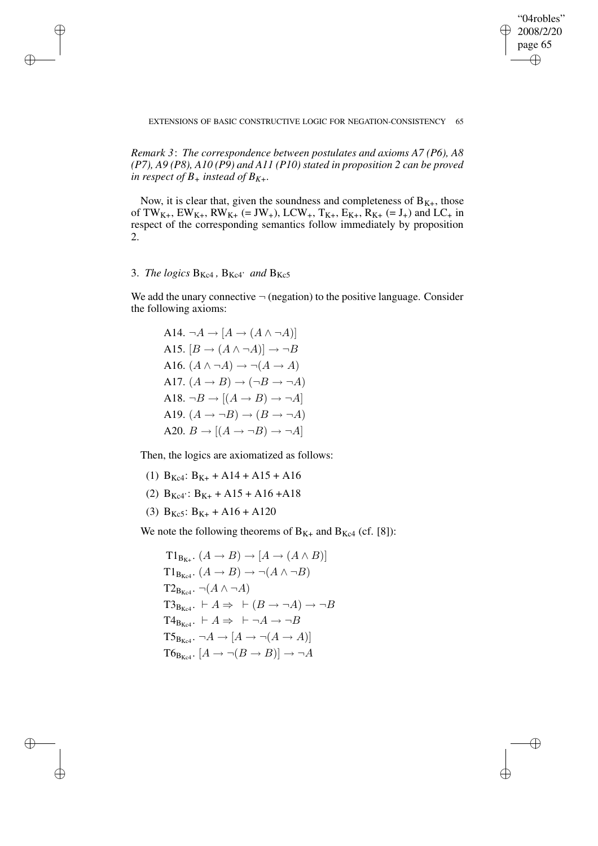"04robles"  $\geq 2008/2/20$ page 65 ✐

✐

✐

## EXTENSIONS OF BASIC CONSTRUCTIVE LOGIC FOR NEGATION-CONSISTENCY 65

*Remark 3*: *The correspondence between postulates and axioms A7 (P6), A8 (P7), A9 (P8), A10 (P9) and A11 (P10) stated in proposition 2 can be proved in respect of*  $B_+$  *instead of*  $B_{K+}$ *.* 

Now, it is clear that, given the soundness and completeness of  $B_{K+}$ , those of TW<sub>K+</sub>, EW<sub>K+</sub>, RW<sub>K+</sub> (= JW<sub>+</sub>), LCW<sub>+</sub>, T<sub>K+</sub>, E<sub>K+</sub>, R<sub>K+</sub> (= J<sub>+</sub>) and LC<sub>+</sub> in respect of the corresponding semantics follow immediately by proposition 2.

# 3. *The logics*  $B_{Kc4}$ ,  $B_{Kc4}$ <sup>*, and*  $B_{Kc5}$ </sup>

✐

✐

✐

✐

We add the unary connective  $\neg$  (negation) to the positive language. Consider the following axioms:

A14.  $\neg A \rightarrow [A \rightarrow (A \land \neg A)]$ A15.  $[B \to (A \land \neg A)] \to \neg B$ A16.  $(A \land \neg A) \rightarrow \neg(A \rightarrow A)$ A17.  $(A \rightarrow B) \rightarrow (\neg B \rightarrow \neg A)$ A18.  $\neg B \rightarrow [(A \rightarrow B) \rightarrow \neg A]$ A19.  $(A \rightarrow \neg B) \rightarrow (B \rightarrow \neg A)$ A20.  $B \rightarrow [(A \rightarrow \neg B) \rightarrow \neg A]$ 

Then, the logics are axiomatized as follows:

- (1)  $B_{Kc4}$ :  $B_{K+}$  + A14 + A15 + A16
- (2)  $B_{Kc4}$ :  $B_{K+}$  + A15 + A16 + A18
- (3)  $B_{Kc5}$ :  $B_{K+} + A16 + A120$

We note the following theorems of  $B_{K+}$  and  $B_{Kc4}$  (cf. [8]):

 $T1_{B_{K+}}$   $(A \rightarrow B) \rightarrow [A \rightarrow (A \wedge B)]$  $T1_{B_{Kad}}$   $(A \rightarrow B) \rightarrow \neg(A \land \neg B)$  $T2_{B_{Kc4}}$ .  $\neg(A \wedge \neg A)$  $T3_{B_{Kc4}}$ .  $\vdash A \Rightarrow \vdash (B \rightarrow \neg A) \rightarrow \neg B$  $T4_{B_{Kcd}}$ .  $\vdash A \Rightarrow \vdash \neg A \rightarrow \neg B$  $T5_{B_{Kcd}}$ .  $\neg A \rightarrow [A \rightarrow \neg (A \rightarrow A)]$  $T6_{B_{Kc4}}$ .  $[A \rightarrow \neg(B \rightarrow B)] \rightarrow \neg A$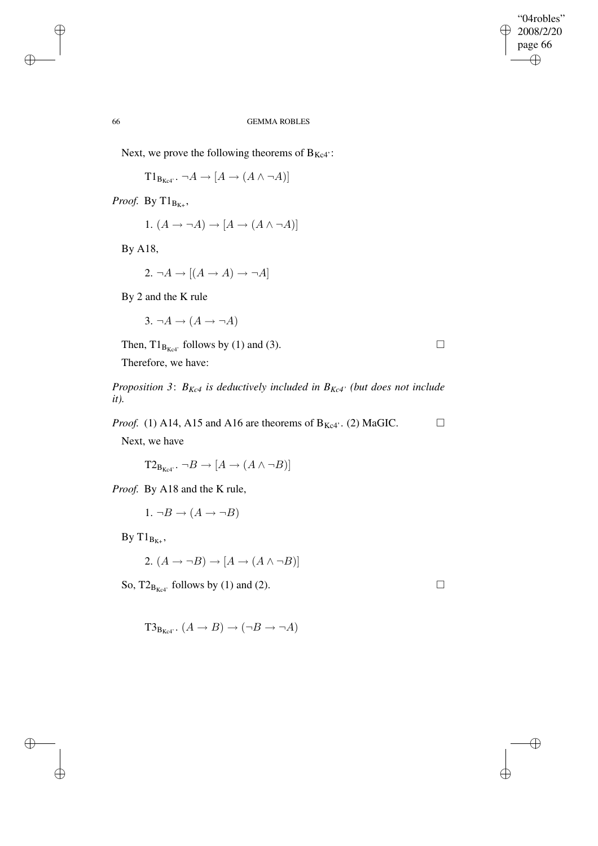## 66 GEMMA ROBLES

Next, we prove the following theorems of  $B_{Kc4}$ :

 $T1_{B_{Kc4}}$ .  $\neg A \rightarrow [A \rightarrow (A \land \neg A)]$ 

*Proof.* By  $T1_{B_{K+}}$ ,

1. 
$$
(A \to \neg A) \to [A \to (A \land \neg A)]
$$

By A18,

$$
2. \neg A \to [(A \to A) \to \neg A]
$$

By 2 and the K rule

 $3. \neg A \rightarrow (A \rightarrow \neg A)$ 

Then,  $T1_{B_{Kc4'}}$  follows by (1) and (3).

Therefore, we have:

*Proposition 3*: *BKc4 is deductively included in BKc4' (but does not include it).*

*Proof.* (1) A14, A15 and A16 are theorems of  $B_{Kc4}$ . (2) MaGIC.  $\Box$ 

Next, we have

 $T2_{B_{Kc4}}$ .  $\neg B \rightarrow [A \rightarrow (A \wedge \neg B)]$ 

*Proof.* By A18 and the K rule,

1.  $\neg B \rightarrow (A \rightarrow \neg B)$ 

By  $T1_{B_{K+}}$ ,

$$
2. (A \to \neg B) \to [A \to (A \land \neg B)]
$$

So,  $T2_{B_{Kc4'}}$  follows by (1) and (2).

✐

✐

 $T3_{B_{Kc4}}$ .  $(A \rightarrow B) \rightarrow (\neg B \rightarrow \neg A)$ 

✐

✐

 $\oplus$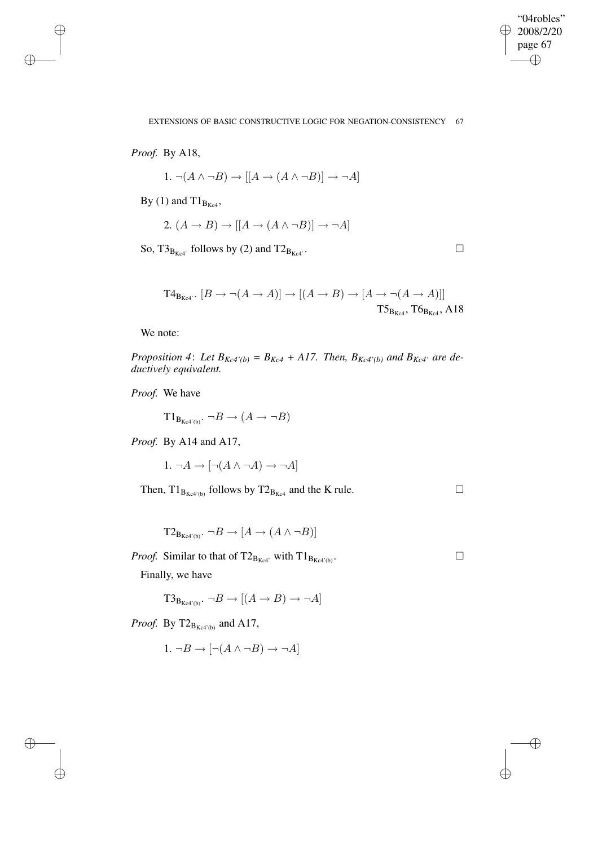✐

EXTENSIONS OF BASIC CONSTRUCTIVE LOGIC FOR NEGATION-CONSISTENCY 67

*Proof.* By A18,

✐

✐

✐

✐

1.  $\neg(A \land \neg B) \rightarrow \lbrack A \rightarrow (A \land \neg B) \rbrack \rightarrow \neg A$ 

By (1) and  $T1_{B<sub>Kc4</sub>}$ ,

2.  $(A \rightarrow B) \rightarrow [(A \rightarrow (A \land \neg B)] \rightarrow \neg A]$ 

So,  $T3_{B_{Kcd}}$  follows by (2) and  $T2_{B_{Kcd}}$ .

 $T4_{B_{Kc4}}$ .  $[B \rightarrow \neg(A \rightarrow A)] \rightarrow [(A \rightarrow B) \rightarrow [A \rightarrow \neg(A \rightarrow A)]]$  $T5_{B_{Kc4}}, T6_{B_{Kc4}}, A18$ 

We note:

*Proposition* 4: Let  $B_{Kc4'}(b) = B_{Kc4} + A17$ . Then,  $B_{Kc4'}(b)$  and  $B_{Kc4'}$  are de*ductively equivalent.*

*Proof.* We have

 $T1_{B_{Kc4}(b)}$ .  $\neg B \rightarrow (A \rightarrow \neg B)$ 

*Proof.* By A14 and A17,

1.  $\neg A \rightarrow [\neg(A \land \neg A) \rightarrow \neg A]$ 

Then,  $T1_{B_{Kc4'(b)}}$  follows by  $T2_{B_{Kc4}}$  and the K rule.

 $T2_{B_{Kc4(b)}}$ .  $\neg B \rightarrow [A \rightarrow (A \wedge \neg B)]$ 

*Proof.* Similar to that of  $T2_{B_{Kc4}}$  with  $T1_{B_{Kc4'(b)}}$ . Finally, we have

 $T3_{B_{Kc4'(b)}}$ .  $\neg B \rightarrow [(A \rightarrow B) \rightarrow \neg A]$ 

*Proof.* By  $T2_{B_{Kc4'(b)}}$  and A17,

$$
1. \neg B \to [\neg (A \land \neg B) \to \neg A]
$$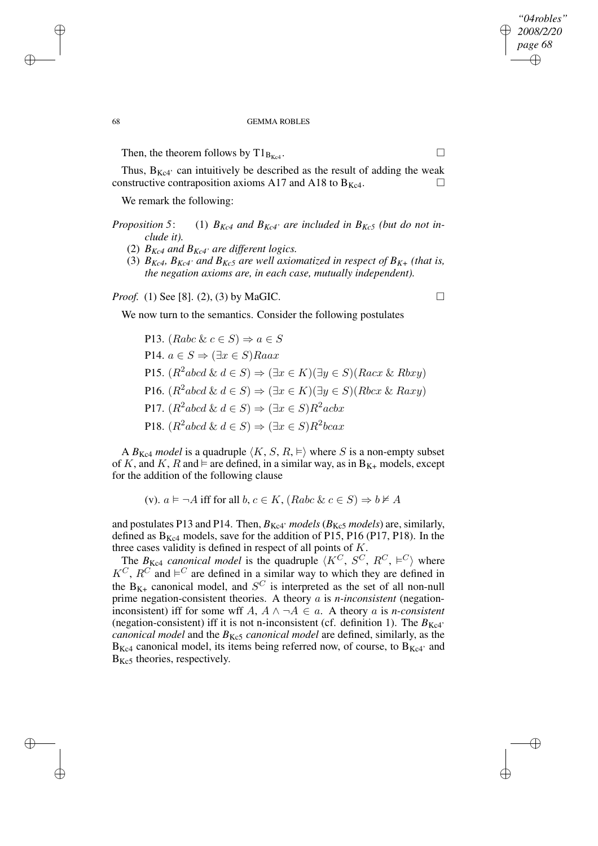✐

## 68 GEMMA ROBLES

Then, the theorem follows by  $T1_{B_{Kc4}}$ .

Thus,  $B_{Kc4}$  can intuitively be described as the result of adding the weak constructive contraposition axioms A17 and A18 to  $B_{Kc4}$ .

We remark the following:

- *Proposition* 5: (1)  $B_{Kc4}$  *and*  $B_{Kc4}$  *are included in*  $B_{Kc5}$  *(but do not include it).*
	- (2)  $B_{Kc4}$  and  $B_{Kc4}$ <sup>*a*</sup> are different logics.
	- (3)  $B_{Kc4}$ ,  $B_{Kc4}$ <sup>*, and*  $B_{Kc5}$  *are well axiomatized in respect of*  $B_{K+}$  *(that is,*</sup> *the negation axioms are, in each case, mutually independent).*

*Proof.* (1) See [8]. (2), (3) by MaGIC. □

We now turn to the semantics. Consider the following postulates

P13. (Rabc &  $c \in S$ )  $\Rightarrow a \in S$ P14.  $a \in S \Rightarrow (\exists x \in S)$ Raax P15.  $(R^2abcd \& d \in S) \Rightarrow (\exists x \in K)(\exists y \in S)(Racz \& Rbxy)$ P16.  $(R^2abcd \& d \in S) \Rightarrow (\exists x \in K)(\exists y \in S)(Rbcx \& Raxy)$ P17.  $(R^2abcd \& d \in S) \Rightarrow (\exists x \in S)R^2acbx$ P18.  $(R^2abcd \& d \in S) \Rightarrow (\exists x \in S)R^2bcax$ 

A  $B_{Kc4}$  *model* is a quadruple  $\langle K, S, R \rangle$  where S is a non-empty subset of K, and K, R and  $\models$  are defined, in a similar way, as in  $B_{K+}$  models, except for the addition of the following clause

(v).  $a \models \neg A$  iff for all  $b, c \in K$ ,  $(Rabc \& c \in S) \Rightarrow b \not\models A$ 

and postulates P13 and P14. Then,  $B_{Kc4'}$  models ( $B_{Kc5}$  models) are, similarly, defined as  $B_{Kc4}$  models, save for the addition of P15, P16 (P17, P18). In the three cases validity is defined in respect of all points of K.

The  $B_{Kc4}$  *canonical model* is the quadruple  $\langle K^C, S^C, R^C, \models^C \rangle$  where  $K^C$ ,  $R^C$  and  $\models^C$  are defined in a similar way to which they are defined in the  $B_{K+}$  canonical model, and  $S^C$  is interpreted as the set of all non-null prime negation-consistent theories. A theory a is *n-inconsistent* (negationinconsistent) iff for some wff  $A, A \wedge \neg A \in a$ . A theory a is *n*-consistent (negation-consistent) iff it is not n-inconsistent (cf. definition 1). The  $B_{Kc4}$ ' *canonical model* and the  $B_{Kc5}$  *canonical model* are defined, similarly, as the  $B_{Kc4}$  canonical model, its items being referred now, of course, to  $B_{Kc4}$  and  $B_{Kc5}$  theories, respectively.

✐

✐

✐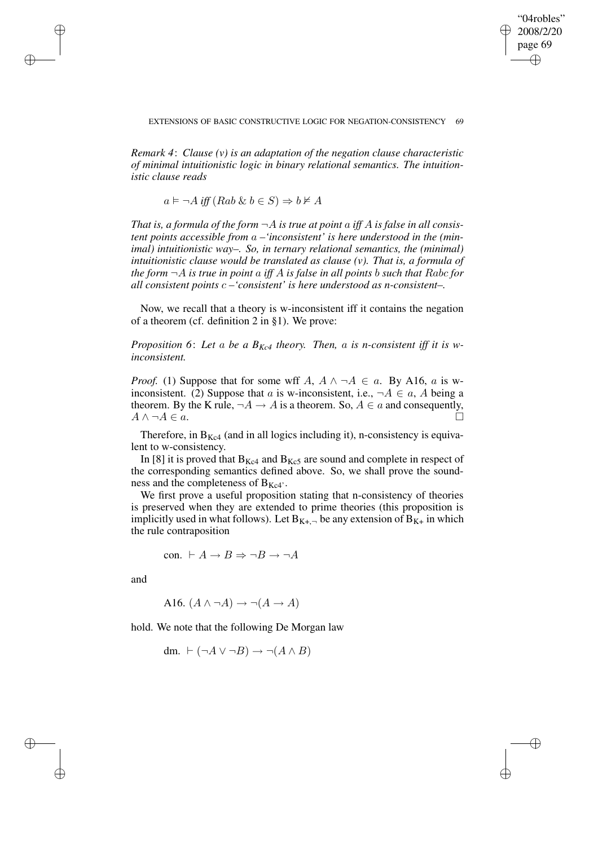✐

*Remark 4*: *Clause (v) is an adaptation of the negation clause characteristic of minimal intuitionistic logic in binary relational semantics. The intuitionistic clause reads*

 $a \vDash \neg A$  *iff*  $(Rab \& b \in S) \Rightarrow b \not\models A$ 

*That is, a formula of the form*  $\neg A$  *is true at point a iff A is false in all consistent points accessible from* a *–'inconsistent' is here understood in the (minimal) intuitionistic way–. So, in ternary relational semantics, the (minimal) intuitionistic clause would be translated as clause (v). That is, a formula of the form* ¬A *is true in point* a *iff* A *is false in all points* b *such that* Rabc *for all consistent points* c *–'consistent' is here understood as n-consistent–.*

Now, we recall that a theory is w-inconsistent iff it contains the negation of a theorem (cf. definition 2 in §1). We prove:

*Proposition 6*: *Let* a *be a BKc4 theory. Then,* a *is n-consistent iff it is winconsistent.*

*Proof.* (1) Suppose that for some wff A,  $A \land \neg A \in \alpha$ . By A16,  $\alpha$  is winconsistent. (2) Suppose that a is w-inconsistent, i.e.,  $\neg A \in \alpha$ , A being a theorem. By the K rule,  $\neg A \rightarrow A$  is a theorem. So,  $A \in \alpha$  and consequently,  $A \wedge \neg A \in a$ .

Therefore, in  $B_{Kc4}$  (and in all logics including it), n-consistency is equivalent to w-consistency.

In [8] it is proved that  $B_{Kc4}$  and  $B_{Kc5}$  are sound and complete in respect of the corresponding semantics defined above. So, we shall prove the soundness and the completeness of  $B_{Kc4}$ .

We first prove a useful proposition stating that n-consistency of theories is preserved when they are extended to prime theories (this proposition is implicitly used in what follows). Let  $B_{K_{+}}$ , be any extension of  $B_{K_{+}}$  in which the rule contraposition

$$
con. \vdash A \to B \Rightarrow \neg B \to \neg A
$$

and

✐

✐

✐

✐

A16.  $(A \land \neg A) \rightarrow \neg(A \rightarrow A)$ 

hold. We note that the following De Morgan law

dm.  $\vdash (\neg A \lor \neg B) \rightarrow \neg (A \land B)$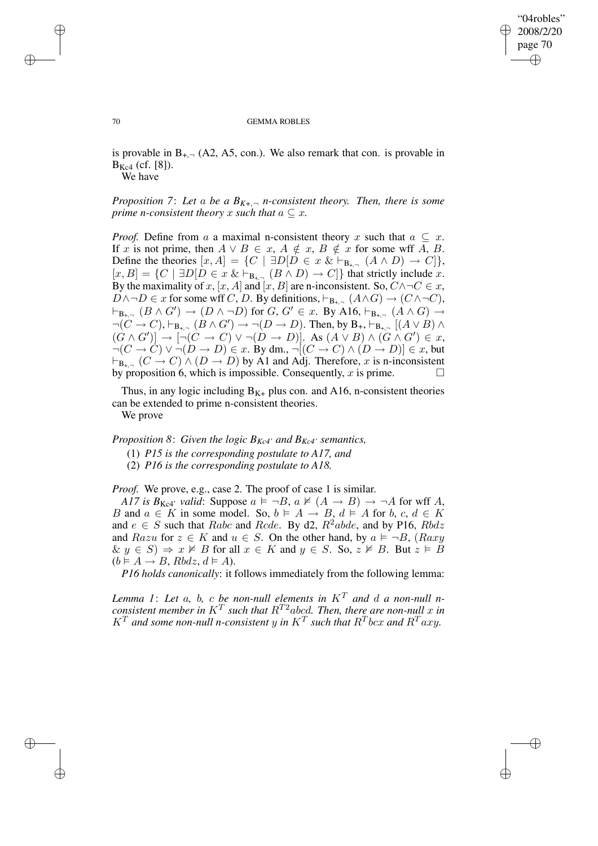✐

#### 70 GEMMA ROBLES

is provable in  $B_{+}$ , (A2, A5, con.). We also remark that con. is provable in  $B_{Kc4}$  (cf. [8]).

We have

*Proposition* 7: Let a be a  $B_{K<sub>+</sub>}-n$ -consistent theory. Then, there is some *prime n*-consistent theory x such that  $a \subseteq x$ .

*Proof.* Define from a a maximal n-consistent theory x such that  $a \subseteq x$ . If x is not prime, then  $A \lor B \in x$ ,  $A \notin x$ ,  $B \notin x$  for some wff A, B. Define the theories  $[x, A] = \{C \mid \exists D[D \in x \& \vdash_{B_{+, \neg}} (A \land D) \rightarrow C] \},$  $[x, B] = \{C \mid \exists D[D \in x \& \vdash_{B_{+, \neg}} (B \wedge D) \rightarrow C] \}$  that strictly include x. By the maximality of x, [x, A] and [x, B] are n-inconsistent. So,  $C \land \neg C \in x$ ,  $D \land \neg D \in x$  for some wff C, D. By definitions,  $\vdash_{\mathbf{B}_{+,\neg}} (A \land G) \to (C \land \neg C)$ ,  $\vdash_{\mathbf{B}_{+,-}} (B \wedge G') \rightarrow (D \wedge \neg D)$  for  $G, G' \in \mathcal{X}$ . By A16,  $\vdash_{\mathbf{B}_{+,-}} (A \wedge G) \rightarrow$  $\neg(C \rightarrow C), \vdash_{B_{+,-}} (\dot{B} \wedge G') \rightarrow \neg(D \rightarrow D)$ . Then, by  $B_+, \vdash_{B_{+,-}} [(A \vee B) \wedge$  $(G \wedge G')$   $\rightarrow$   $\neg\neg(\hat{C} \rightarrow C) \vee \neg(\hat{D} \rightarrow D)$ . As  $(A \vee B) \wedge (G \wedge G') \in x$ ,  $\neg(C \to C) \lor \neg(D \to D) \in x$ . By dm.,  $\neg[(C \to C) \land (D \to D)] \in x$ , but  $\vdash_{\mathbf{B}_{+},\neg} (C \to C) \land (D \to D)$  by A1 and Adj. Therefore, x is n-inconsistent by proposition 6, which is impossible. Consequently, x is prime.  $\Box$ 

Thus, in any logic including  $B_{K+}$  plus con. and A16, n-consistent theories can be extended to prime n-consistent theories.

We prove

*Proposition* 8: *Given the logic*  $B_{Kc4}$  *and*  $B_{Kc4}$  *semantics,* 

- (1) *P15 is the corresponding postulate to A17, and*
- (2) *P16 is the corresponding postulate to A18.*

*Proof.* We prove, e.g., case 2. The proof of case 1 is similar.

*A17 is*  $B_{Kc4}$ ' *valid*: Suppose  $a \models \neg B$ ,  $a \not\vDash (A \rightarrow B) \rightarrow \neg A$  for wff A, B and  $a \in K$  in some model. So,  $b \models A \rightarrow B$ ,  $d \models A$  for  $b, c, d \in K$ and  $e \in S$  such that Rabc and Rcde. By d2,  $R^2abde$ , and by P16,  $Rbdz$ and Razu for  $z \in K$  and  $u \in S$ . On the other hand, by  $a \models \neg B$ , (Raxy  $\& y \in S$   $\Rightarrow x \not\models B$  for all  $x \in K$  and  $y \in S$ . So,  $z \not\models B$ . But  $z \models B$  $(b \vDash A \rightarrow B, Rbdz, d \vDash A).$ 

*P16 holds canonically*: it follows immediately from the following lemma:

*Lemma* 1: Let a, b, c be non-null elements in  $K<sup>T</sup>$  and d a non-null *n*- $\frac{1}{2}$  *consistent member in*  $K^T$  *such that*  $R^{T2}$ *abcd. Then, there are non-null* x *in*  $K^T$  and some non-null n-consistent y in  $K^T$  such that  $R^T$  bcx and  $R^T$  axy.

✐

✐

✐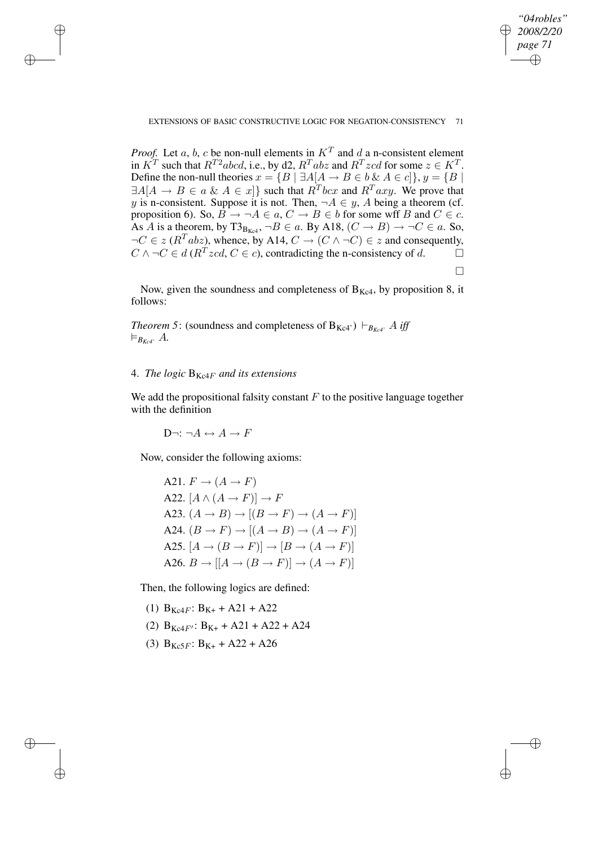## EXTENSIONS OF BASIC CONSTRUCTIVE LOGIC FOR NEGATION-CONSISTENCY 71

*"04robles" 2008/2/20 page 71*

✐

 $\Box$ 

✐

✐

✐

*Proof.* Let a, b, c be non-null elements in  $K^T$  and d a n-consistent element in  $K^T$  such that  $R^{T2}abcd$ , i.e., by d2,  $R^Tabz$  and  $R^Tzcd$  for some  $z \in K^T$ . Define the non-null theories  $x = {B | \exists A[A \rightarrow B \in b \& A \in c]}, y = {B |}$  $\exists A[A \rightarrow B \in a \& A \in x]$  such that  $R^T$ *bcx* and  $R^T$ *axy.* We prove that y is n-consistent. Suppose it is not. Then,  $\neg A \in y$ , A being a theorem (cf. proposition 6). So,  $\overline{B} \to \neg A \in a$ ,  $C \to B \in b$  for some wff B and  $C \in c$ . As A is a theorem, by T3<sub>B<sub>Kc4</sub>,  $\neg B \in a$ . By A18,  $(C \rightarrow B) \rightarrow \neg C \in a$ . So,</sub>  $\neg C \in z$  ( $R^T$ abz), whence, by A14,  $C \rightarrow (C \land \neg C) \in z$  and consequently,  $C \wedge \neg C \in d \left( R^T z c d, C \in c \right)$ , contradicting the n-consistency of d.  $\square$ 

Now, given the soundness and completeness of  $B_{Kc4}$ , by proposition 8, it follows:

*Theorem* 5: (soundness and completeness of  $B_{Kc4}$ )  $\vdash_{B_{Kc4}} A$  *iff*  $\models_{B_{Kc4}} A$ .

# 4. *The logic* BKc4<sup>F</sup> *and its extensions*

✐

✐

✐

✐

We add the propositional falsity constant  $F$  to the positive language together with the definition

 $D\neg: \neg A \leftrightarrow A \rightarrow F$ 

Now, consider the following axioms:

A21.  $F \rightarrow (A \rightarrow F)$ A22.  $[A \wedge (A \rightarrow F)] \rightarrow F$ A23.  $(A \rightarrow B) \rightarrow [(B \rightarrow F) \rightarrow (A \rightarrow F)]$ A24.  $(B \to F) \to [(A \to B) \to (A \to F)]$ A25.  $[A \rightarrow (B \rightarrow F)] \rightarrow [B \rightarrow (A \rightarrow F)]$ A26.  $B \to [[A \to (B \to F)] \to (A \to F)]$ 

Then, the following logics are defined:

- (1)  $B_{Kc4F}$ :  $B_{K+}$  + A21 + A22
- (2)  $B_{Kc4F'}$ :  $B_{K+}$  + A21 + A22 + A24
- (3)  $B_{Kc5F}$ :  $B_{K+} + A22 + A26$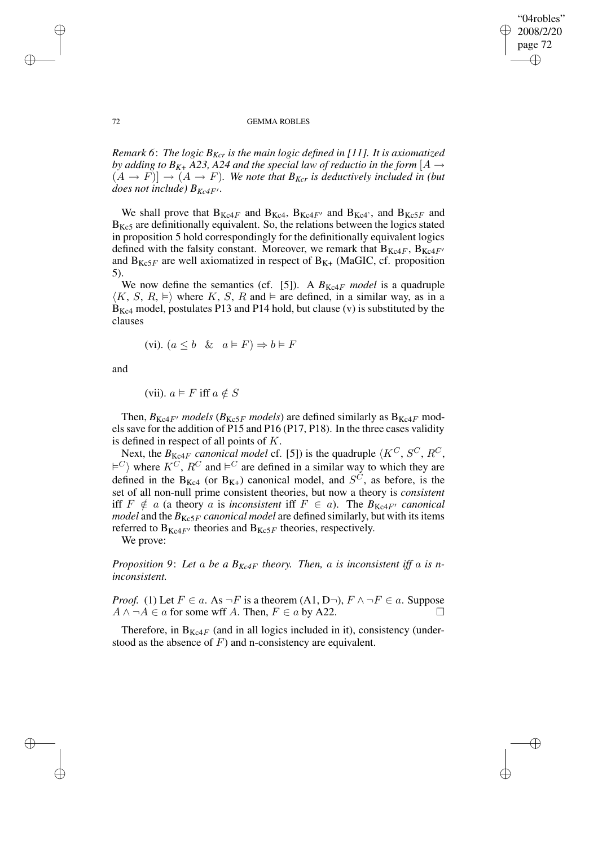✐

### 72 GEMMA ROBLES

*Remark 6*: *The logic BKcr is the main logic defined in [11]. It is axiomatized by adding to*  $B_{K+}$  *A23, A24 and the special law of reductio in the form* [*A*  $\rightarrow$  $(A \rightarrow F)] \rightarrow (A \rightarrow F)$ *. We note that*  $B_{Kcr}$  *is deductively included in (but does not include*)  $B_{Kc4F}$ .

We shall prove that  $B_{Kc4F}$  and  $B_{Kc4F}$ ,  $B_{Kc4F}$  and  $B_{Kc4}$ , and  $B_{Kc5F}$  and  $B_{Kc5}$  are definitionally equivalent. So, the relations between the logics stated in proposition 5 hold correspondingly for the definitionally equivalent logics defined with the falsity constant. Moreover, we remark that  $B_{Kc4F}$ ,  $B_{Kc4F'}$ and  $B_{Kc5F}$  are well axiomatized in respect of  $B_{K+}$  (MaGIC, cf. proposition 5).

We now define the semantics (cf. [5]). A  $B_{Kc4F}$  model is a quadruple  $\langle K, S, R, \vDash \rangle$  where K, S, R and  $\vDash$  are defined, in a similar way, as in a  $B_{Kc4}$  model, postulates P13 and P14 hold, but clause (v) is substituted by the clauses

$$
(vi). (a \le b \& a \vDash F) \Rightarrow b \vDash F
$$

and

(vii). 
$$
a \models F
$$
 iff  $a \notin S$ 

Then,  $B_{Kc4F}$  *models* ( $B_{Kc5F}$  *models*) are defined similarly as  $B_{Kc4F}$  modelssave for the addition of P15 and P16 (P17, P18). In the three cases validity is defined in respect of all points of K.

Next, the  $B_{Kc4F}$  *canonical model* cf. [5]) is the quadruple  $\langle K^C, S^C, R^C,$  $\models^C$  where  $K^C$ ,  $R^C$  and  $\models^C$  are defined in a similar way to which they are defined in the B<sub>Kc4</sub> (or B<sub>K+</sub>) canonical model, and  $S^{\tilde{C}}$ , as before, is the set of all non-null prime consistent theories, but now a theory is *consistent* iff  $F \notin a$  (a theory a is *inconsistent* iff  $F \in a$ ). The  $B_{Kc4F}$  *canonical model* and the  $B_{Kc5F}$  *canonical model* are defined similarly, but with its items referred to  $B_{Kc4F}$  theories and  $B_{Kc5F}$  theories, respectively.

We prove:

*Proposition* 9: Let a be a  $B_{Kc4F}$  theory. Then, a is inconsistent iff a is n*inconsistent.*

*Proof.* (1) Let  $F \in a$ . As  $\neg F$  is a theorem (A1, D $\neg$ ),  $F \wedge \neg F \in a$ . Suppose  $A \land \neg A \in a$  for some wff A. Then,  $F \in a$  by A22.

Therefore, in  $B_{Kc4F}$  (and in all logics included in it), consistency (understood as the absence of  $F$ ) and n-consistency are equivalent.

✐

✐

✐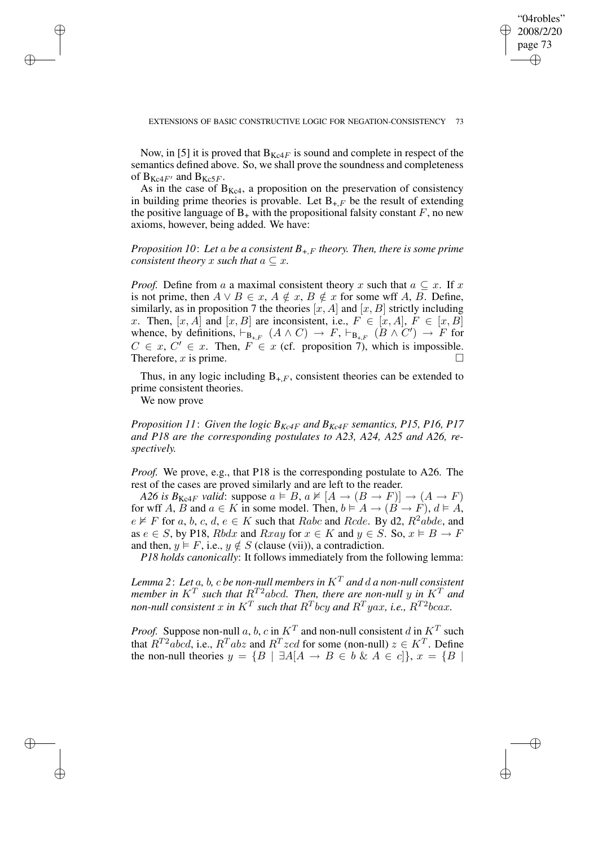✐

Now, in [5] it is proved that  $B_{Kc4F}$  is sound and complete in respect of the semantics defined above. So, we shall prove the soundness and completeness of  $B_{Kc4F'}$  and  $B_{Kc5F}$ .

As in the case of  $B_{Kc4}$ , a proposition on the preservation of consistency in building prime theories is provable. Let  $B_{+F}$  be the result of extending the positive language of  $B_+$  with the propositional falsity constant  $F$ , no new axioms, however, being added. We have:

*Proposition 10*: *Let* a *be a consistent B+,*<sup>F</sup> *theory. Then, there is some prime consistent theory* x *such that*  $a \subseteq x$ .

*Proof.* Define from a a maximal consistent theory x such that  $a \subseteq x$ . If x is not prime, then  $A \lor B \in x$ ,  $A \notin x$ ,  $B \notin x$  for some wff A, B. Define, similarly, as in proposition 7 the theories  $[x, A]$  and  $[x, B]$  strictly including x. Then,  $[x, A]$  and  $[x, B]$  are inconsistent, i.e.,  $F \in [x, A]$ ,  $F \in [x, B]$ whence, by definitions,  $\vdash_{B_{+,F}} (A \wedge C) \rightarrow F$ ,  $\vdash_{B_{+,F}} (B \wedge C') \rightarrow F$  for  $C \in x, C' \in x$ . Then,  $F \in x$  (cf. proposition 7), which is impossible. Therefore,  $x$  is prime.

Thus, in any logic including  $B_{+F}$ , consistent theories can be extended to prime consistent theories.

We now prove

✐

✐

✐

✐

*Proposition* 11: *Given the logic*  $B_{Kc4F}$  *and*  $B_{Kc4F}$  *semantics,* P15, P16, P17 *and P18 are the corresponding postulates to A23, A24, A25 and A26, respectively.*

*Proof.* We prove, e.g., that P18 is the corresponding postulate to A26. The rest of the cases are proved similarly and are left to the reader.

*A26 is*  $B_{Kc4F}$  *valid*: suppose  $a \models B$ ,  $a \not\vDash [A \rightarrow (B \rightarrow F)] \rightarrow (A \rightarrow F)$ for wff A, B and  $a \in K$  in some model. Then,  $b \models A \rightarrow (B \rightarrow F)$ ,  $d \models A$ ,  $e \not\vDash F$  for a, b, c, d,  $e \in K$  such that Rabc and Rcde. By d2,  $R^2abde$ , and as  $e \in S$ , by P18, Rbdx and Rxay for  $x \in K$  and  $y \in S$ . So,  $x \models B \rightarrow F$ and then,  $y \in F$ , i.e.,  $y \notin S$  (clause (vii)), a contradiction.

*P18 holds canonically*: It follows immediately from the following lemma:

*Lemma* 2: Let a, b, c be non-null members in  $K<sup>T</sup>$  and d a non-null consistent *member* in  $K^T$  *such that*  $R^{T2}$ *abcd. Then, there are non-null* y in  $K^T$  *and* non-null consistent  $x$  in  $K^T$  such that  $R^T$ bcy and  $R^T$ yax, i.e.,  $R^{T2}$ bcax.

*Proof.* Suppose non-null a, b, c in  $K^T$  and non-null consistent d in  $K^T$  such that  $R^{T2}abcd$ , i.e.,  $R^{T}abz$  and  $R^{T}zcd$  for some (non-null)  $z \in K^{T}$ . Define the non-null theories  $y = \{B \mid \exists A[A \rightarrow B \in b \& A \in c]\}, x = \{B \mid$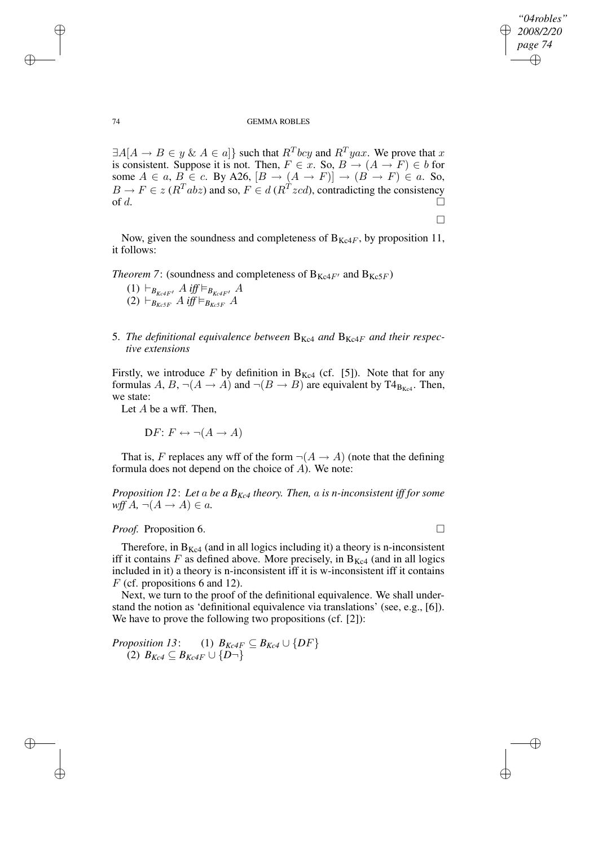$\Box$ 

✐

✐

### 74 GEMMA ROBLES

 $\exists A[A \rightarrow B \in y \& A \in a]$ } such that  $R^T b c y$  and  $R^T y a x$ . We prove that x is consistent. Suppose it is not. Then,  $F \in \mathcal{X}$ . So,  $B \to (A \to F) \in b$  for some  $A \in a$ ,  $B \in \mathcal{C}$ . By A26,  $[B \to (A \to F)] \to (B \to F) \in a$ . So,  $B \to F \in z$  ( $R^T$ abz) and so,  $F \in d \left( R^T z c d \right)$ , contradicting the consistency of d.

Now, given the soundness and completeness of  $B_{Kc4F}$ , by proposition 11, it follows:

*Theorem* 7: (soundness and completeness of  $B_{Kc4F}$  and  $B_{Kc5F}$ )

- $(1)$   $\vdash_{B_{Kc4F'}} A$  iff  $\models_{B_{Kc4F'}} A$  $(2)$   $\vdash_{B_{Kc5F}} A$  *iff*  $\models_{B_{Kc5F}} A$
- 5. *The definitional equivalence between*  $B_{Kc4}$  *and*  $B_{Kc4}$  *and their respective extensions*

Firstly, we introduce F by definition in  $B_{Kc4}$  (cf. [5]). Note that for any formulas A, B,  $\neg(A \rightarrow A)$  and  $\neg(B \rightarrow B)$  are equivalent by T4<sub>B<sub>Kc4</sub>. Then,</sub> we state:

Let  $A$  be a wff. Then,

 $DF: F \leftrightarrow \neg(A \rightarrow A)$ 

That is, F replaces any wff of the form  $\neg(A \rightarrow A)$  (note that the defining formula does not depend on the choice of A). We note:

*Proposition* 12: Let a be a  $B_{Kc4}$  *theory. Then,* a *is n*-*inconsistent iff for some*  $wffA, \neg(A \rightarrow A) \in a$ .

## *Proof.* Proposition 6. □

Therefore, in  $B_{Kc4}$  (and in all logics including it) a theory is n-inconsistent iff it contains F as defined above. More precisely, in  $B_{Kc4}$  (and in all logics included in it) a theory is n-inconsistent iff it is w-inconsistent iff it contains  $F$  (cf. propositions 6 and 12).

Next, we turn to the proof of the definitional equivalence. We shall understand the notion as 'definitional equivalence via translations' (see, e.g., [6]). We have to prove the following two propositions (cf. [2]):

*Proposition* 13: (1)  $B_{Kc4F} \subseteq B_{Kc4} \cup \{DF\}$ (2)  $B_{Kc4} ⊆ B_{Kc4F} ∪ {D¬}$ 

✐

✐

✐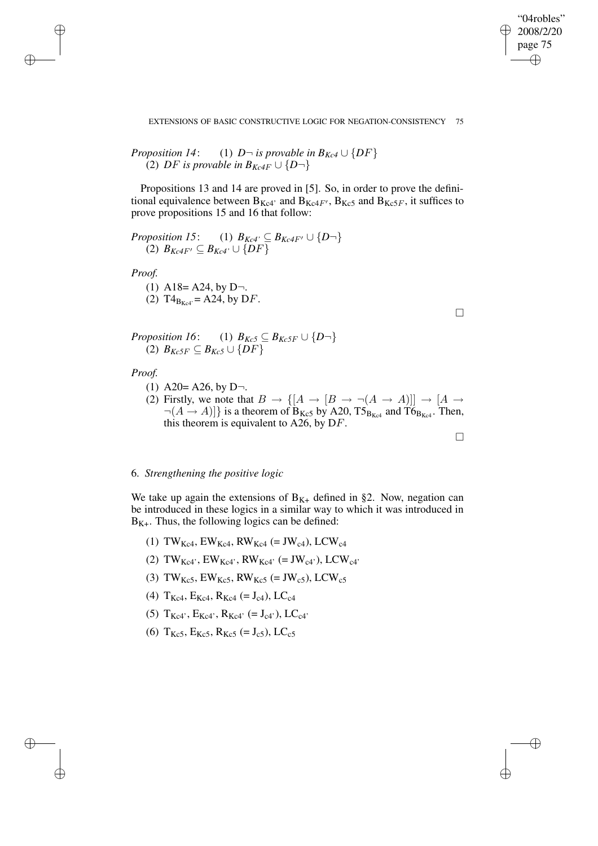$\Box$ 

 $\Box$ 

✐

✐

### EXTENSIONS OF BASIC CONSTRUCTIVE LOGIC FOR NEGATION-CONSISTENCY 75

*Proposition 14:* (1) 
$$
D \neg
$$
 is provable in  $B_{Kc4} \cup \{DF\}$   
(2) *DF* is provable in  $B_{Kc4F} \cup \{D \neg\}$ 

Propositions 13 and 14 are proved in [5]. So, in order to prove the definitional equivalence between  $B_{Kc4'}$  and  $B_{Kc4F'}$ ,  $B_{Kc5}$  and  $B_{Kc5F}$ , it suffices to prove propositions 15 and 16 that follow:

*Proposition 15*: (1) 
$$
B_{Kc4'} \subseteq B_{Kc4F'} \cup \{D-\}
$$
  
(2)  $B_{Kc4F'} \subseteq B_{Kc4'} \cup \{DF\}$ 

*Proof.*

✐

✐

✐

✐

(1) A18= A24, by D
$$
\neg
$$
.  
(2) T4<sub>B<sub>Kc4</sub></sub> = A24, by D*F*.

*Proposition 16*: (1)  $B_{Kc5} \subseteq B_{Kc5F} \cup \{D^-\}$ (2)  $B_{Kc5F}$  ⊆  $B_{Kc5}$  ∪ {DF}

*Proof.*

- (1) A20= A26, by D $\neg$ .
- (2) Firstly, we note that  $B \to \{[A \to [B \to \neg(A \to A)]] \to [A \to$  $\neg(A \rightarrow A)]$  is a theorem of B<sub>Kc5</sub> by A20, T5<sub>B<sub>Kc4</sub> and T6<sub>BKc4</sub>. Then,</sub> this theorem is equivalent to A26, by DF.

## 6. *Strengthening the positive logic*

We take up again the extensions of  $B_{K+}$  defined in §2. Now, negation can be introduced in these logics in a similar way to which it was introduced in  $B_{K+}$ . Thus, the following logics can be defined:

- (1) TW<sub>Kc4</sub>, EW<sub>Kc4</sub>, RW<sub>Kc4</sub> (= JW<sub>c4</sub>), LCW<sub>c4</sub>
- (2) TW<sub>Kc4</sub>', EW<sub>Kc4</sub>', RW<sub>Kc4</sub>' (= JW<sub>c4</sub>'), LCW<sub>c4</sub>'
- (3) TW<sub>Kc5</sub>, EW<sub>Kc5</sub>, RW<sub>Kc5</sub> (= JW<sub>c5</sub>), LCW<sub>c5</sub>
- (4)  $T_{Kc4}$ ,  $E_{Kc4}$ ,  $R_{Kc4}$  (=  $J_{c4}$ ), LC<sub>c4</sub>
- (5)  $T_{Kc4}$ ',  $E_{Kc4}$ ',  $R_{Kc4}$ ' (=  $J_{c4}$ '),  $LC_{c4}$ '
- (6)  $T_{Kc5}$ ,  $E_{Kc5}$ ,  $R_{Kc5}$  (= J<sub>c5</sub>), LC<sub>c5</sub>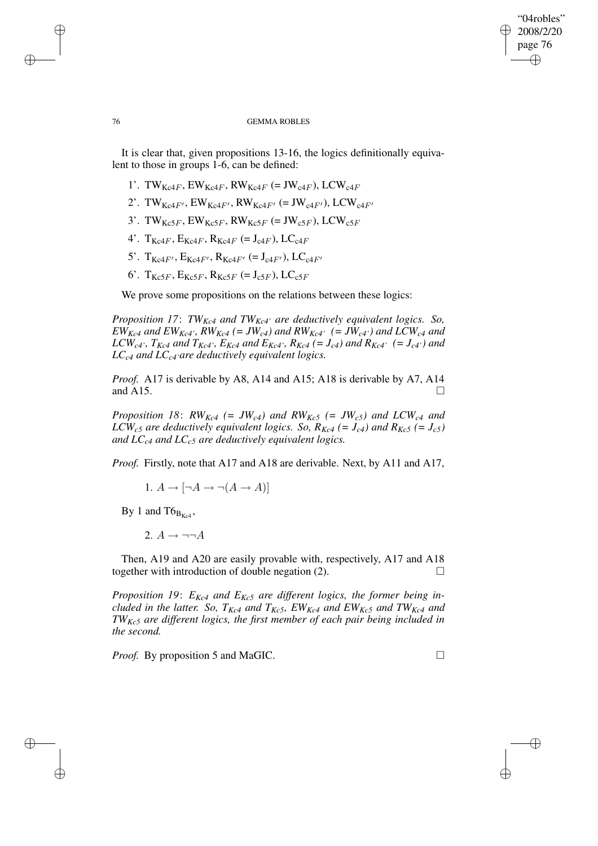## "04robles" 2008/2/20 page 76 ✐ ✐

### 76 GEMMA ROBLES

It is clear that, given propositions 13-16, the logics definitionally equivalent to those in groups 1-6, can be defined:

- 1'. TW<sub>Kc4F</sub>, EW<sub>Kc4F</sub>, RW<sub>Kc4F</sub> (= JW<sub>c4F</sub>), LCW<sub>c4F</sub>
- 2'. TW<sub>Kc4F'</sub>, EW<sub>Kc4F'</sub>, RW<sub>Kc4F'</sub> (= JW<sub>c4F'</sub>), LCW<sub>c4F'</sub>
- 3'. TW<sub>Kc5F</sub>, EW<sub>Kc5F</sub>, RW<sub>Kc5F</sub> (= JW<sub>c5F</sub>), LCW<sub>c5F</sub>
- 4'.  $T_{Kc4F}$ ,  $E_{Kc4F}$ ,  $R_{Kc4F}$  (=  $J_{c4F}$ ),  $LC_{c4F}$
- 5'.  $T_{Kc4F}$ ,  $E_{Kc4F}$ ,  $R_{Kc4F}$  (=  $J_{c4F}$ ),  $LC_{c4F}$
- 6'.  $T_{Kc5F}$ ,  $E_{Kc5F}$ ,  $R_{Kc5F}$  (=  $J_{c5F}$ ),  $LC_{c5F}$

We prove some propositions on the relations between these logics:

*Proposition 17*: *TWKc4 and TWKc4' are deductively equivalent logics. So,*  $EW_{Kc4}$  and  $EW_{Kc4}$ , RW<sub>Kc4</sub> (= JW<sub>c4</sub>) and RW<sub>Kc4</sub>, (= JW<sub>c4</sub>) and LCW<sub>c4</sub> and LCW<sub>c4</sub>',  $T_{Kc4}$  and  $T_{Kc4}$ ',  $E_{Kc4}$  and  $E_{Kc4}$ ',  $R_{Kc4}$  (=  $J_{c4}$ ) and  $R_{Kc4}$ ' (=  $J_{c4}$ ') and *LCc4 and LCc4'are deductively equivalent logics.*

*Proof.* A17 is derivable by A8, A14 and A15; A18 is derivable by A7, A14 and A15.  $\Box$ 

*Proposition* 18:  $RW_{Kc4}$  (=  $JW_{c4}$ ) and  $RW_{Kc5}$  (=  $JW_{c5}$ ) and  $LCW_{c4}$  and *LCW*<sub>c5</sub> are *deductively equivalent logics. So,*  $R_{Kc4}$  (=  $J_{c4}$ ) *and*  $R_{Kc5}$  (=  $J_{c5}$ ) *and LCc4 and LCc5 are deductively equivalent logics.*

*Proof.* Firstly, note that A17 and A18 are derivable. Next, by A11 and A17,

1.  $A \rightarrow \lceil \neg A \rightarrow \neg (A \rightarrow A) \rceil$ 

By 1 and  $T6_{B_{K+4}}$ ,

✐

✐

✐

✐

2.  $A \rightarrow \neg\neg A$ 

Then, A19 and A20 are easily provable with, respectively, A17 and A18 together with introduction of double negation  $(2)$ .

*Proposition 19*: *EKc4 and EKc5 are different logics, the former being included in the latter. So, TKc4 and TKc5, EWKc4 and EWKc5 and TWKc4 and TWKc5 are different logics, the first member of each pair being included in the second.*

*Proof.* By proposition 5 and MaGIC. □

✐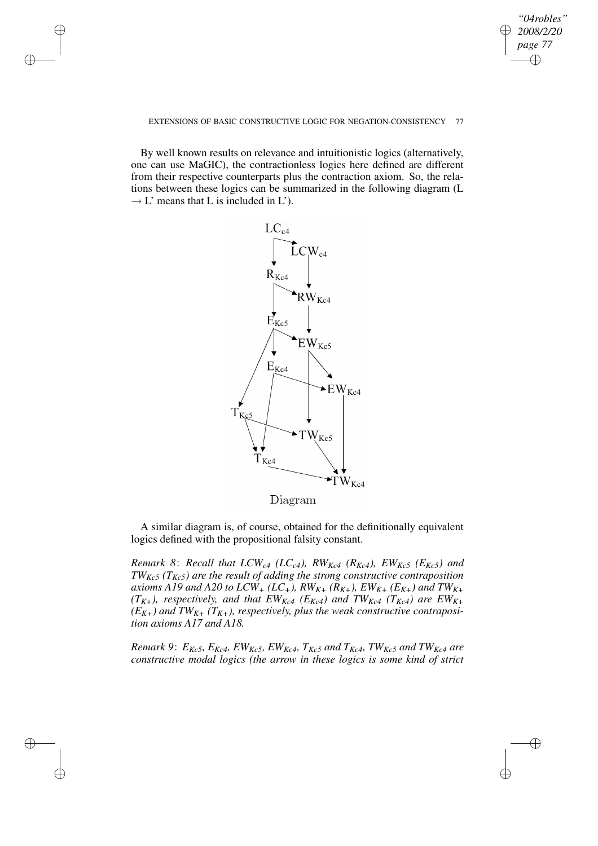## *"04robles" 2008/2/20 page 77* ✐ ✐

✐

✐

### EXTENSIONS OF BASIC CONSTRUCTIVE LOGIC FOR NEGATION-CONSISTENCY 77

✐

✐

✐

✐

By well known results on relevance and intuitionistic logics (alternatively, one can use MaGIC), the contractionless logics here defined are different from their respective counterparts plus the contraction axiom. So, the relations between these logics can be summarized in the following diagram (L  $\rightarrow$  L' means that L is included in L').



Diagram

A similar diagram is, of course, obtained for the definitionally equivalent logics defined with the propositional falsity constant.

*Remark* 8: *Recall that*  $LCW_{c4}$  ( $LC_{c4}$ *),*  $RW_{Kc4}$  ( $R_{Kc4}$ *),*  $EW_{Kc5}$  ( $E_{Kc5}$ *)* and *TWKc5 (TKc5) are the result of adding the strong constructive contraposition* axioms A19 and A20 to LCW<sub>+</sub> (LC<sub>+</sub>), RW<sub>K+</sub> (R<sub>K+</sub>), EW<sub>K+</sub> (E<sub>K+</sub>) and TW<sub>K+</sub>  $(T_{K+})$ *, respectively, and that*  $EW_{Kc4}$  *(E<sub>Kc4</sub>) and*  $TW_{Kc4}$  *(T<sub>Kc4</sub>) are*  $EW_{K+}$  $(E_{K+})$  *and*  $TW_{K+}$   $(T_{K+})$ *, respectively, plus the weak constructive contraposition axioms A17 and A18.*

Remark 9:  $E_{Kc5}$ ,  $E_{Kc4}$ ,  $EW_{Kc5}$ ,  $EW_{Kc4}$ ,  $T_{Kc5}$  and  $T_{Kc4}$ ,  $TW_{Kc5}$  and  $TW_{Kc4}$  are *constructive modal logics (the arrow in these logics is some kind of strict*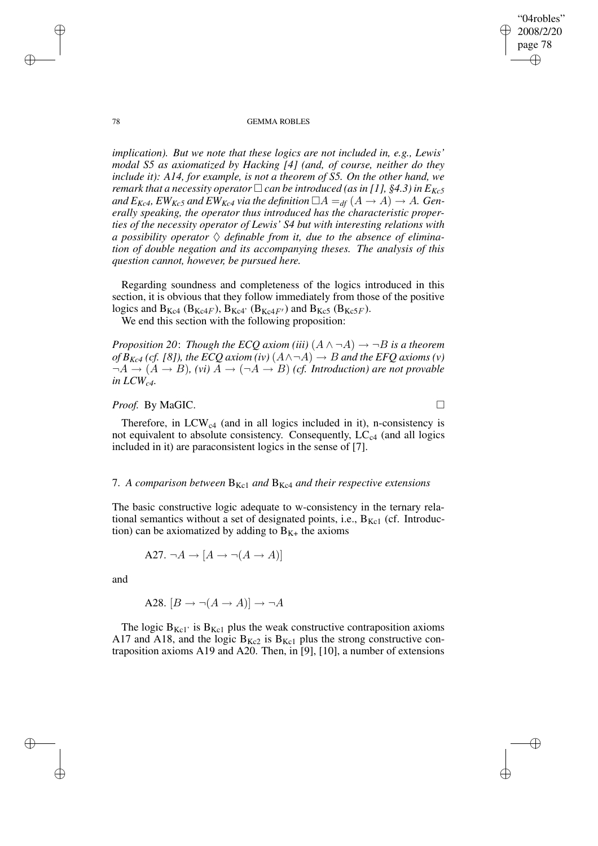"04robles" 2008/2/20 page 78 ✐ ✐

✐

✐

### 78 GEMMA ROBLES

*implication). But we note that these logics are not included in, e.g., Lewis' modal S5 as axiomatized by Hacking [4] (and, of course, neither do they include it): A14, for example, is not a theorem of S5. On the other hand, we remark that a necessity operator*  $\Box$  *can be introduced* (*as in* [1], §4.3) *in*  $E_{Kc}$ 5 *and*  $E_{Kc4}$ ,  $EW_{Kc5}$  *and*  $EW_{Kc4}$  *via the definition*  $\Box A =_{df} (A \rightarrow A) \rightarrow A$ . Gen*erally speaking, the operator thus introduced has the characteristic properties of the necessity operator of Lewis' S4 but with interesting relations with a* possibility operator  $\Diamond$  *definable from it, due to the absence of elimination of double negation and its accompanying theses. The analysis of this question cannot, however, be pursued here.*

Regarding soundness and completeness of the logics introduced in this section, it is obvious that they follow immediately from those of the positive logics and  $B_{Kc4}$  ( $B_{Kc4F}$ ),  $B_{Kc4}$ <sup>,</sup> ( $B_{Kc4F'}$ ) and  $B_{Kc5}$  ( $B_{Kc5F}$ ).

We end this section with the following proposition:

*Proposition* 20: *Though the ECQ axiom (iii)*  $(A \land \neg A) \rightarrow \neg B$  *is a theorem of*  $B_{Kc4}$  (cf. [8]), the ECQ axiom (iv)  $(A \land \neg A) \rightarrow B$  and the EFQ axioms (v)  $\neg A \rightarrow (A \rightarrow B)$ , *(vi)*  $A \rightarrow (\neg A \rightarrow B)$  *(cf. Introduction)* are not provable *in LCWc4.*

# *Proof.* By MaGIC. □

Therefore, in  $LCW_{c4}$  (and in all logics included in it), n-consistency is not equivalent to absolute consistency. Consequently,  $LC_{c4}$  (and all logics included in it) are paraconsistent logics in the sense of [7].

## 7. *A comparison between* BKc1 *and* BKc4 *and their respective extensions*

The basic constructive logic adequate to w-consistency in the ternary relational semantics without a set of designated points, i.e.,  $B_{Kc1}$  (cf. Introduction) can be axiomatized by adding to  $B_{K+}$  the axioms

A27. 
$$
\neg A \rightarrow [A \rightarrow \neg (A \rightarrow A)]
$$

and

✐

✐

A28. 
$$
[B \to \neg(A \to A)] \to \neg A
$$

The logic  $B_{Kc1}$  is  $B_{Kc1}$  plus the weak constructive contraposition axioms A17 and A18, and the logic  $B_{Kc2}$  is  $B_{Kc1}$  plus the strong constructive contraposition axioms A19 and A20. Then, in [9], [10], a number of extensions

✐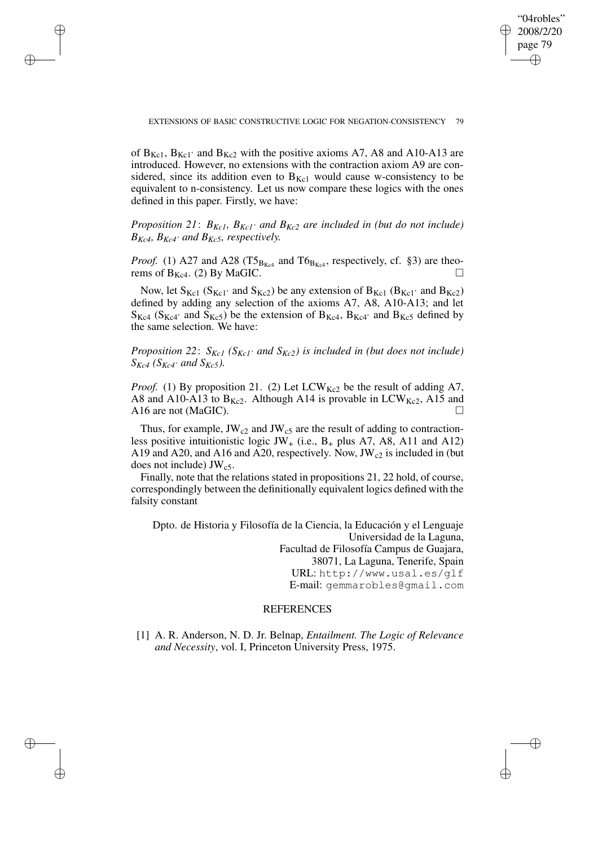EXTENSIONS OF BASIC CONSTRUCTIVE LOGIC FOR NEGATION-CONSISTENCY 79

✐

✐

✐

✐

"04robles" 2008/2/20 page 79

✐

✐

✐

✐

of  $B_{Kc1}$ ,  $B_{Kc1}$  and  $B_{Kc2}$  with the positive axioms A7, A8 and A10-A13 are introduced. However, no extensions with the contraction axiom A9 are considered, since its addition even to  $B_{Kc1}$  would cause w-consistency to be equivalent to n-consistency. Let us now compare these logics with the ones defined in this paper. Firstly, we have:

*Proposition* 21:  $B_{Kc1}$ *,*  $B_{Kc1}$ *' and*  $B_{Kc2}$  *are included in (but do not include) BKc4, BKc4' and BKc5, respectively.*

*Proof.* (1) A27 and A28 (T5 $_{B_{Kc4}}$  and T6 $_{B_{Kc4}}$ , respectively, cf. §3) are theorems of  $B_{Kc4}$ . (2) By MaGIC.

Now, let  $S_{Kc1}$  ( $S_{Kc1}$ ' and  $S_{Kc2}$ ) be any extension of  $B_{Kc1}$  ( $B_{Kc1}$ ' and  $B_{Kc2}$ ) defined by adding any selection of the axioms A7, A8, A10-A13; and let  $S_{Kc4}$  ( $S_{Kc4}$ <sup>2</sup> and  $S_{Kc5}$ ) be the extension of  $B_{Kc4}$ ,  $B_{Kc4}$ <sup>2</sup> and  $B_{Kc5}$  defined by the same selection. We have:

*Proposition 22*: *SKc1 (SKc1' and SKc2) is included in (but does not include)*  $S_{Kc4}$  ( $S_{Kc4}$ <sup>*, and*  $S_{Kc5}$ ).</sup>

*Proof.* (1) By proposition 21. (2) Let  $LCW_{Kc2}$  be the result of adding A7, A8 and A10-A13 to  $B_{Kc2}$ . Although A14 is provable in LCW<sub>Kc2</sub>, A15 and A16 are not (MaGIC).

Thus, for example,  $JW_{c2}$  and  $JW_{c5}$  are the result of adding to contractionless positive intuitionistic logic JW<sub>+</sub> (i.e.,  $B_+$  plus A7, A8, A11 and A12) A19 and A20, and A16 and A20, respectively. Now,  $JW_{c2}$  is included in (but does not include)  $JW_{c5}$ .

Finally, note that the relations stated in propositions 21, 22 hold, of course, correspondingly between the definitionally equivalent logics defined with the falsity constant

Dpto. de Historia y Filosofía de la Ciencia, la Educación y el Lenguaje Universidad de la Laguna, Facultad de Filosofía Campus de Guajara, 38071, La Laguna, Tenerife, Spain URL: http://www.usal.es/glf E-mail: gemmarobles@gmail.com

# **REFERENCES**

[1] A. R. Anderson, N. D. Jr. Belnap, *Entailment. The Logic of Relevance and Necessity*, vol. I, Princeton University Press, 1975.